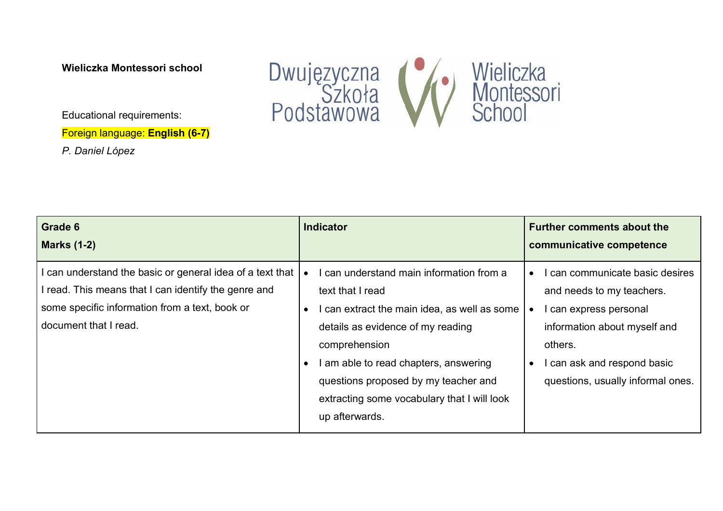**Wieliczka Montessori school**

Educational requirements:

Foreign language: **English (6-7)**

*P. Daniel López*



| <b>Grade 6</b>                                                                                                                                                                           | <b>Indicator</b>                                                                                                                                                                                                                                                                                                     | <b>Further comments about the</b>                                                                                                                                                                                  |
|------------------------------------------------------------------------------------------------------------------------------------------------------------------------------------------|----------------------------------------------------------------------------------------------------------------------------------------------------------------------------------------------------------------------------------------------------------------------------------------------------------------------|--------------------------------------------------------------------------------------------------------------------------------------------------------------------------------------------------------------------|
| <b>Marks (1-2)</b>                                                                                                                                                                       |                                                                                                                                                                                                                                                                                                                      | communicative competence                                                                                                                                                                                           |
| can understand the basic or general idea of a text that<br>read. This means that I can identify the genre and<br>some specific information from a text, book or<br>document that I read. | I can understand main information from a<br>text that I read<br>I can extract the main idea, as well as some<br>details as evidence of my reading<br>comprehension<br>I am able to read chapters, answering<br>questions proposed by my teacher and<br>extracting some vocabulary that I will look<br>up afterwards. | I can communicate basic desires<br>and needs to my teachers.<br>I can express personal<br>information about myself and<br>others.<br>I can ask and respond basic<br>$\bullet$<br>questions, usually informal ones. |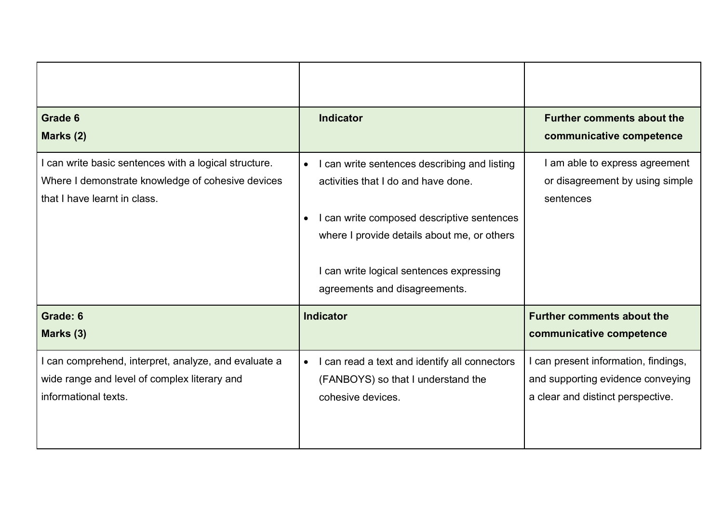| Grade 6<br>Marks (2)                                                                                                                       | <b>Indicator</b>                                                                                                                                                                                                                                                           | <b>Further comments about the</b><br>communicative competence                                                  |
|--------------------------------------------------------------------------------------------------------------------------------------------|----------------------------------------------------------------------------------------------------------------------------------------------------------------------------------------------------------------------------------------------------------------------------|----------------------------------------------------------------------------------------------------------------|
| I can write basic sentences with a logical structure.<br>Where I demonstrate knowledge of cohesive devices<br>that I have learnt in class. | I can write sentences describing and listing<br>$\bullet$<br>activities that I do and have done.<br>I can write composed descriptive sentences<br>where I provide details about me, or others<br>I can write logical sentences expressing<br>agreements and disagreements. | I am able to express agreement<br>or disagreement by using simple<br>sentences                                 |
| Grade: 6<br>Marks (3)                                                                                                                      | Indicator                                                                                                                                                                                                                                                                  | <b>Further comments about the</b><br>communicative competence                                                  |
| can comprehend, interpret, analyze, and evaluate a<br>wide range and level of complex literary and<br>informational texts.                 | I can read a text and identify all connectors<br>$\bullet$<br>(FANBOYS) so that I understand the<br>cohesive devices.                                                                                                                                                      | I can present information, findings,<br>and supporting evidence conveying<br>a clear and distinct perspective. |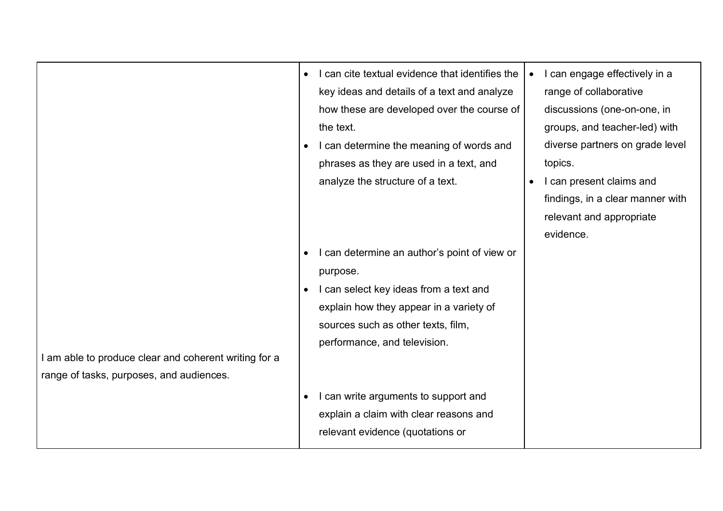|                                                                                                   | I can cite textual evidence that identifies the<br>$\bullet$<br>key ideas and details of a text and analyze<br>how these are developed over the course of<br>the text.<br>I can determine the meaning of words and<br>$\bullet$<br>phrases as they are used in a text, and | I can engage effectively in a<br>$\bullet$<br>range of collaborative<br>discussions (one-on-one, in<br>groups, and teacher-led) with<br>diverse partners on grade level<br>topics. |
|---------------------------------------------------------------------------------------------------|----------------------------------------------------------------------------------------------------------------------------------------------------------------------------------------------------------------------------------------------------------------------------|------------------------------------------------------------------------------------------------------------------------------------------------------------------------------------|
|                                                                                                   | analyze the structure of a text.                                                                                                                                                                                                                                           | I can present claims and<br>findings, in a clear manner with<br>relevant and appropriate<br>evidence.                                                                              |
| I am able to produce clear and coherent writing for a<br>range of tasks, purposes, and audiences. | can determine an author's point of view or<br>purpose.<br>I can select key ideas from a text and<br>$\bullet$<br>explain how they appear in a variety of<br>sources such as other texts, film,<br>performance, and television.                                             |                                                                                                                                                                                    |
|                                                                                                   | can write arguments to support and<br>explain a claim with clear reasons and<br>relevant evidence (quotations or                                                                                                                                                           |                                                                                                                                                                                    |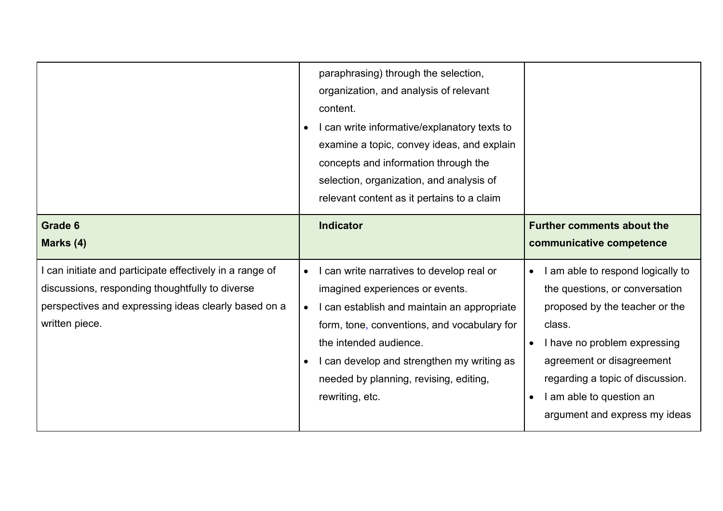|                                                                                                                                                                                     |                        | paraphrasing) through the selection,<br>organization, and analysis of relevant<br>content.<br>I can write informative/explanatory texts to<br>examine a topic, convey ideas, and explain<br>concepts and information through the<br>selection, organization, and analysis of<br>relevant content as it pertains to a claim |                                     |                                                                                                                                                                                                                                                                               |
|-------------------------------------------------------------------------------------------------------------------------------------------------------------------------------------|------------------------|----------------------------------------------------------------------------------------------------------------------------------------------------------------------------------------------------------------------------------------------------------------------------------------------------------------------------|-------------------------------------|-------------------------------------------------------------------------------------------------------------------------------------------------------------------------------------------------------------------------------------------------------------------------------|
| Grade 6<br>Marks (4)                                                                                                                                                                |                        | <b>Indicator</b>                                                                                                                                                                                                                                                                                                           |                                     | <b>Further comments about the</b><br>communicative competence                                                                                                                                                                                                                 |
| can initiate and participate effectively in a range of<br>discussions, responding thoughtfully to diverse<br>perspectives and expressing ideas clearly based on a<br>written piece. | $\bullet$<br>$\bullet$ | I can write narratives to develop real or<br>imagined experiences or events.<br>I can establish and maintain an appropriate<br>form, tone, conventions, and vocabulary for<br>the intended audience.<br>I can develop and strengthen my writing as<br>needed by planning, revising, editing,<br>rewriting, etc.            | $\bullet$<br>$\bullet$<br>$\bullet$ | I am able to respond logically to<br>the questions, or conversation<br>proposed by the teacher or the<br>class.<br>I have no problem expressing<br>agreement or disagreement<br>regarding a topic of discussion.<br>I am able to question an<br>argument and express my ideas |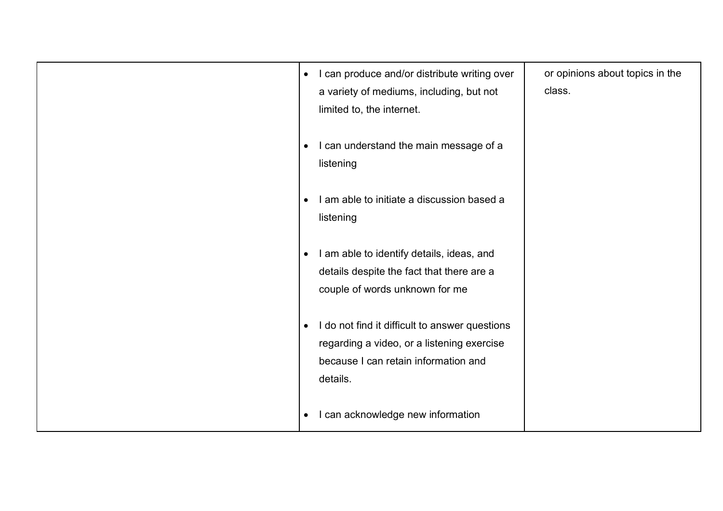| I can produce and/or distribute writing over<br>$\bullet$<br>a variety of mediums, including, but not<br>limited to, the internet.                            | or opinions about topics in the<br>class. |
|---------------------------------------------------------------------------------------------------------------------------------------------------------------|-------------------------------------------|
| I can understand the main message of a<br>$\bullet$<br>listening                                                                                              |                                           |
| I am able to initiate a discussion based a<br>listening                                                                                                       |                                           |
| I am able to identify details, ideas, and<br>$\bullet$<br>details despite the fact that there are a<br>couple of words unknown for me                         |                                           |
| I do not find it difficult to answer questions<br>$\bullet$<br>regarding a video, or a listening exercise<br>because I can retain information and<br>details. |                                           |
| I can acknowledge new information<br>$\bullet$                                                                                                                |                                           |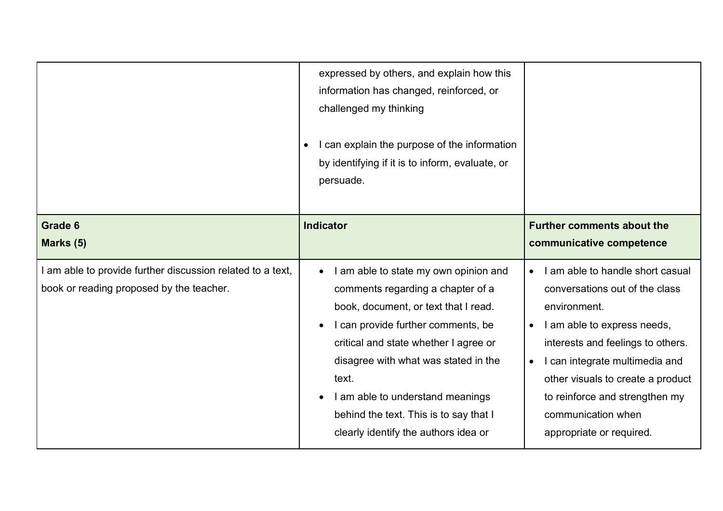|                                                                                                        | expressed by others, and explain how this<br>information has changed, reinforced, or<br>challenged my thinking<br>I can explain the purpose of the information<br>by identifying if it is to inform, evaluate, or<br>persuade.                                                                                                                                           |                                                                                                                                                                                                                                                                                                                                                          |
|--------------------------------------------------------------------------------------------------------|--------------------------------------------------------------------------------------------------------------------------------------------------------------------------------------------------------------------------------------------------------------------------------------------------------------------------------------------------------------------------|----------------------------------------------------------------------------------------------------------------------------------------------------------------------------------------------------------------------------------------------------------------------------------------------------------------------------------------------------------|
| Grade 6                                                                                                | <b>Indicator</b>                                                                                                                                                                                                                                                                                                                                                         | <b>Further comments about the</b>                                                                                                                                                                                                                                                                                                                        |
| Marks (5)                                                                                              |                                                                                                                                                                                                                                                                                                                                                                          | communicative competence                                                                                                                                                                                                                                                                                                                                 |
| I am able to provide further discussion related to a text,<br>book or reading proposed by the teacher. | I am able to state my own opinion and<br>comments regarding a chapter of a<br>book, document, or text that I read.<br>I can provide further comments, be<br>critical and state whether I agree or<br>disagree with what was stated in the<br>text.<br>I am able to understand meanings<br>behind the text. This is to say that I<br>clearly identify the authors idea or | I am able to handle short casual<br>$\bullet$<br>conversations out of the class<br>environment.<br>I am able to express needs,<br>$\bullet$<br>interests and feelings to others.<br>I can integrate multimedia and<br>$\bullet$<br>other visuals to create a product<br>to reinforce and strengthen my<br>communication when<br>appropriate or required. |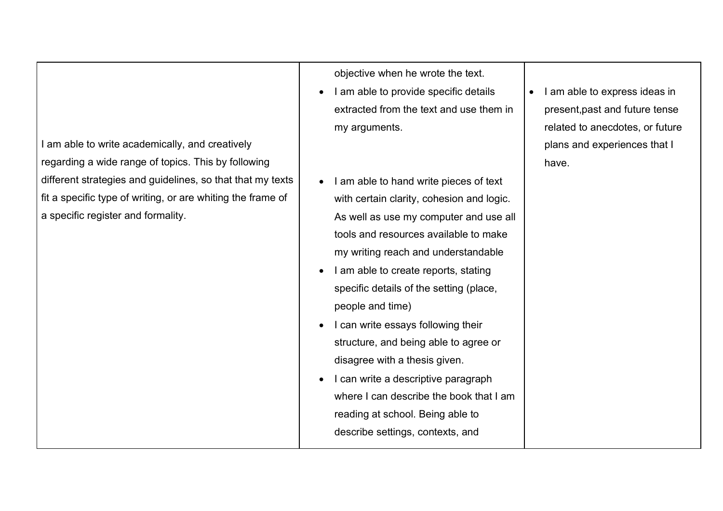I am able to write academically, and creatively regarding a wide range of topics. This by following different strategies and guidelines, so that that my texts fit a specific type of writing, or are whiting the frame of a specific register and formality.

objective when he wrote the text.

- I am able to provide specific details extracted from the text and use them in my arguments.
- I am able to hand write pieces of text with certain clarity, cohesion and logic. As well as use my computer and use all tools and resources available to make my writing reach and understandable
- I am able to create reports, stating specific details of the setting (place, people and time)
- I can write essays following their structure, and being able to agree or disagree with a thesis given.
- I can write a descriptive paragraph where I can describe the book that I am reading at school. Being able to describe settings, contexts, and

• I am able to express ideas in present,past and future tense related to anecdotes, or future plans and experiences that I have.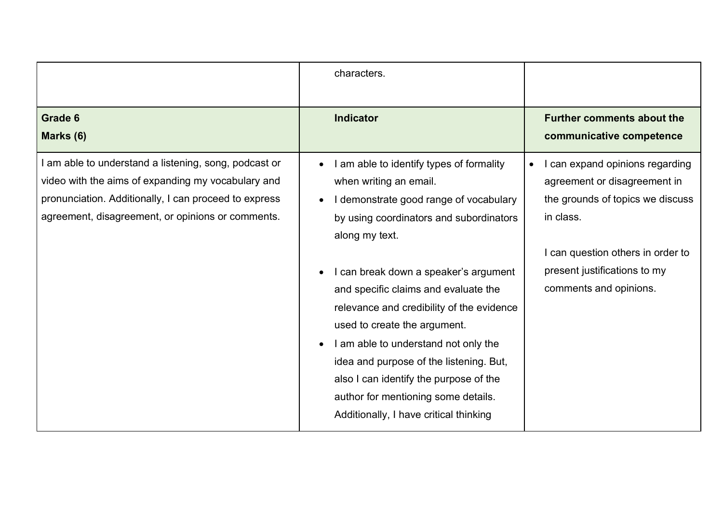|                                                                                                                                                                                                                         | characters.                                                                                                                                                                                                                                                                                                                                                                                                                                                                                                                                           |                                                                                                                                                                                                               |
|-------------------------------------------------------------------------------------------------------------------------------------------------------------------------------------------------------------------------|-------------------------------------------------------------------------------------------------------------------------------------------------------------------------------------------------------------------------------------------------------------------------------------------------------------------------------------------------------------------------------------------------------------------------------------------------------------------------------------------------------------------------------------------------------|---------------------------------------------------------------------------------------------------------------------------------------------------------------------------------------------------------------|
| Grade 6<br>Marks (6)                                                                                                                                                                                                    | <b>Indicator</b>                                                                                                                                                                                                                                                                                                                                                                                                                                                                                                                                      | <b>Further comments about the</b><br>communicative competence                                                                                                                                                 |
| am able to understand a listening, song, podcast or<br>video with the aims of expanding my vocabulary and<br>pronunciation. Additionally, I can proceed to express<br>agreement, disagreement, or opinions or comments. | I am able to identify types of formality<br>when writing an email.<br>I demonstrate good range of vocabulary<br>by using coordinators and subordinators<br>along my text.<br>I can break down a speaker's argument<br>and specific claims and evaluate the<br>relevance and credibility of the evidence<br>used to create the argument.<br>I am able to understand not only the<br>idea and purpose of the listening. But,<br>also I can identify the purpose of the<br>author for mentioning some details.<br>Additionally, I have critical thinking | can expand opinions regarding<br>agreement or disagreement in<br>the grounds of topics we discuss<br>in class.<br>I can question others in order to<br>present justifications to my<br>comments and opinions. |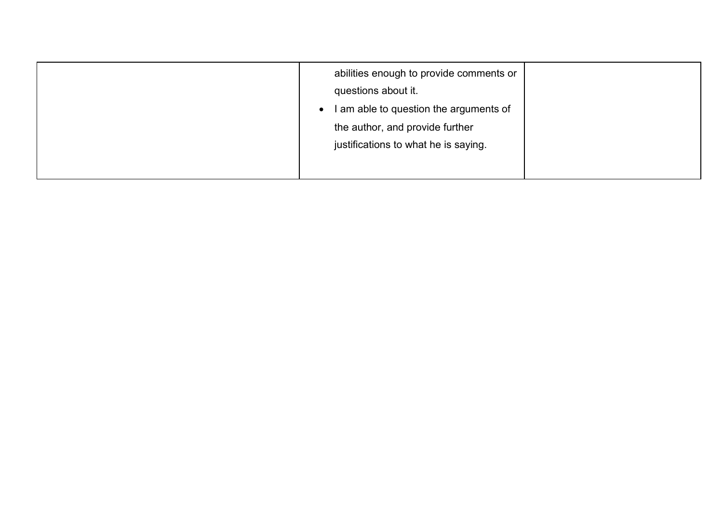| abilities enough to provide comments or<br>questions about it.<br>I am able to question the arguments of<br>$\bullet$ |
|-----------------------------------------------------------------------------------------------------------------------|
| the author, and provide further<br>justifications to what he is saying.                                               |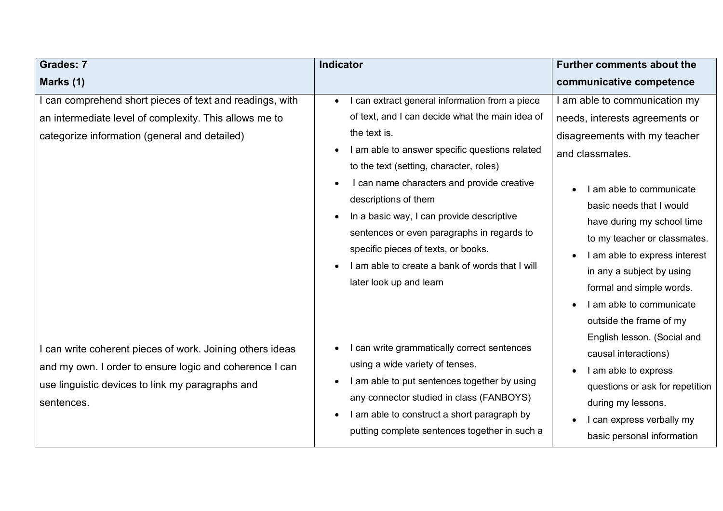| <b>Grades: 7</b>                                                                                                                                                                     | <b>Indicator</b>                                                                                                                                                                                                                                                                                                                                                                                                                                                                                                               | <b>Further comments about the</b>                                                                                                                                                                                                                                                                                                                                                                                       |
|--------------------------------------------------------------------------------------------------------------------------------------------------------------------------------------|--------------------------------------------------------------------------------------------------------------------------------------------------------------------------------------------------------------------------------------------------------------------------------------------------------------------------------------------------------------------------------------------------------------------------------------------------------------------------------------------------------------------------------|-------------------------------------------------------------------------------------------------------------------------------------------------------------------------------------------------------------------------------------------------------------------------------------------------------------------------------------------------------------------------------------------------------------------------|
| Marks (1)                                                                                                                                                                            |                                                                                                                                                                                                                                                                                                                                                                                                                                                                                                                                | communicative competence                                                                                                                                                                                                                                                                                                                                                                                                |
| can comprehend short pieces of text and readings, with<br>an intermediate level of complexity. This allows me to<br>categorize information (general and detailed)                    | I can extract general information from a piece<br>$\bullet$<br>of text, and I can decide what the main idea of<br>the text is.<br>I am able to answer specific questions related<br>to the text (setting, character, roles)<br>I can name characters and provide creative<br>descriptions of them<br>In a basic way, I can provide descriptive<br>$\bullet$<br>sentences or even paragraphs in regards to<br>specific pieces of texts, or books.<br>I am able to create a bank of words that I will<br>later look up and learn | am able to communication my<br>needs, interests agreements or<br>disagreements with my teacher<br>and classmates.<br>I am able to communicate<br>basic needs that I would<br>have during my school time<br>to my teacher or classmates.<br>I am able to express interest<br>in any a subject by using<br>formal and simple words.<br>I am able to communicate<br>outside the frame of my<br>English lesson. (Social and |
| can write coherent pieces of work. Joining others ideas<br>and my own. I order to ensure logic and coherence I can<br>use linguistic devices to link my paragraphs and<br>sentences. | I can write grammatically correct sentences<br>using a wide variety of tenses.<br>I am able to put sentences together by using<br>any connector studied in class (FANBOYS)<br>I am able to construct a short paragraph by<br>putting complete sentences together in such a                                                                                                                                                                                                                                                     | causal interactions)<br>I am able to express<br>questions or ask for repetition<br>during my lessons.<br>I can express verbally my<br>basic personal information                                                                                                                                                                                                                                                        |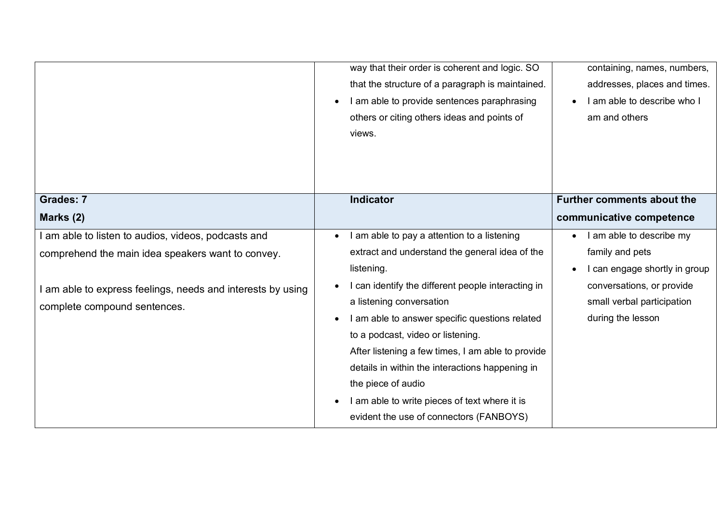|                                                           | way that their order is coherent and logic. SO<br>that the structure of a paragraph is maintained.<br>I am able to provide sentences paraphrasing<br>$\bullet$<br>others or citing others ideas and points of<br>views. | containing, names, numbers,<br>addresses, places and times.<br>I am able to describe who I<br>am and others |
|-----------------------------------------------------------|-------------------------------------------------------------------------------------------------------------------------------------------------------------------------------------------------------------------------|-------------------------------------------------------------------------------------------------------------|
| <b>Grades: 7</b>                                          | <b>Indicator</b>                                                                                                                                                                                                        | <b>Further comments about the</b>                                                                           |
| Marks (2)                                                 |                                                                                                                                                                                                                         | communicative competence                                                                                    |
| am able to listen to audios, videos, podcasts and         | I am able to pay a attention to a listening                                                                                                                                                                             | I am able to describe my                                                                                    |
| comprehend the main idea speakers want to convey.         | extract and understand the general idea of the                                                                                                                                                                          | family and pets                                                                                             |
|                                                           | listening.                                                                                                                                                                                                              | I can engage shortly in group                                                                               |
| am able to express feelings, needs and interests by using | I can identify the different people interacting in                                                                                                                                                                      | conversations, or provide                                                                                   |
| complete compound sentences.                              | a listening conversation                                                                                                                                                                                                | small verbal participation                                                                                  |
|                                                           | I am able to answer specific questions related                                                                                                                                                                          | during the lesson                                                                                           |
|                                                           | to a podcast, video or listening.                                                                                                                                                                                       |                                                                                                             |
|                                                           | After listening a few times, I am able to provide                                                                                                                                                                       |                                                                                                             |
|                                                           | details in within the interactions happening in                                                                                                                                                                         |                                                                                                             |
|                                                           | the piece of audio                                                                                                                                                                                                      |                                                                                                             |
|                                                           | I am able to write pieces of text where it is                                                                                                                                                                           |                                                                                                             |
|                                                           | evident the use of connectors (FANBOYS)                                                                                                                                                                                 |                                                                                                             |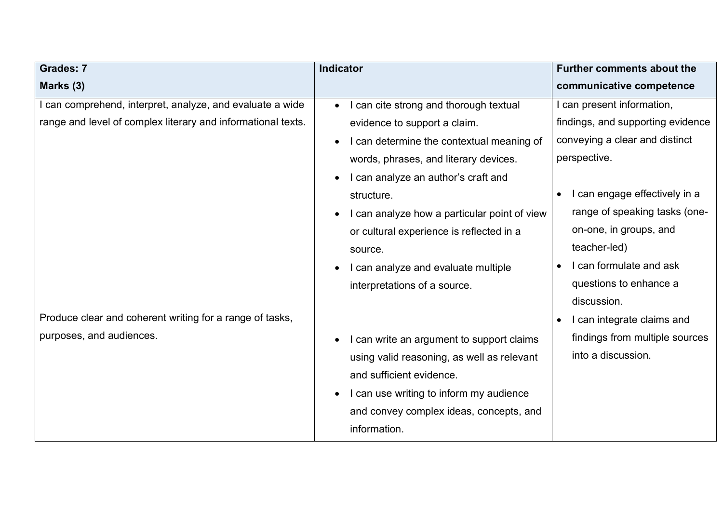| Indicator                                           | <b>Further comments about the</b>          |
|-----------------------------------------------------|--------------------------------------------|
|                                                     | communicative competence                   |
| I can cite strong and thorough textual<br>$\bullet$ | I can present information,                 |
| evidence to support a claim.                        | findings, and supporting evidence          |
| I can determine the contextual meaning of           | conveying a clear and distinct             |
| words, phrases, and literary devices.               | perspective.                               |
| I can analyze an author's craft and                 |                                            |
| structure.                                          | I can engage effectively in a<br>$\bullet$ |
| I can analyze how a particular point of view        | range of speaking tasks (one-              |
| or cultural experience is reflected in a            | on-one, in groups, and                     |
| source.                                             | teacher-led)                               |
| I can analyze and evaluate multiple                 | I can formulate and ask                    |
| interpretations of a source.                        | questions to enhance a                     |
|                                                     | discussion.                                |
|                                                     | I can integrate claims and                 |
| I can write an argument to support claims           | findings from multiple sources             |
| using valid reasoning, as well as relevant          | into a discussion.                         |
| and sufficient evidence.                            |                                            |
| I can use writing to inform my audience             |                                            |
| and convey complex ideas, concepts, and             |                                            |
| information.                                        |                                            |
|                                                     |                                            |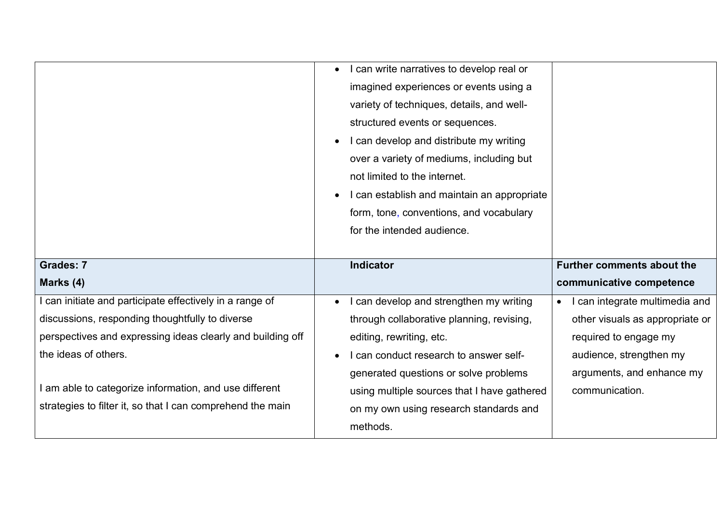|                                                            | I can write narratives to develop real or<br>$\bullet$<br>imagined experiences or events using a<br>variety of techniques, details, and well-<br>structured events or sequences.<br>I can develop and distribute my writing<br>over a variety of mediums, including but<br>not limited to the internet.<br>I can establish and maintain an appropriate<br>form, tone, conventions, and vocabulary<br>for the intended audience. |                                           |
|------------------------------------------------------------|---------------------------------------------------------------------------------------------------------------------------------------------------------------------------------------------------------------------------------------------------------------------------------------------------------------------------------------------------------------------------------------------------------------------------------|-------------------------------------------|
| <b>Grades: 7</b>                                           | <b>Indicator</b>                                                                                                                                                                                                                                                                                                                                                                                                                | <b>Further comments about the</b>         |
| Marks (4)                                                  |                                                                                                                                                                                                                                                                                                                                                                                                                                 | communicative competence                  |
|                                                            |                                                                                                                                                                                                                                                                                                                                                                                                                                 |                                           |
| can initiate and participate effectively in a range of     | I can develop and strengthen my writing<br>$\bullet$                                                                                                                                                                                                                                                                                                                                                                            | can integrate multimedia and<br>$\bullet$ |
| discussions, responding thoughtfully to diverse            | through collaborative planning, revising,                                                                                                                                                                                                                                                                                                                                                                                       | other visuals as appropriate or           |
| perspectives and expressing ideas clearly and building off | editing, rewriting, etc.                                                                                                                                                                                                                                                                                                                                                                                                        | required to engage my                     |
| the ideas of others.                                       | I can conduct research to answer self-                                                                                                                                                                                                                                                                                                                                                                                          | audience, strengthen my                   |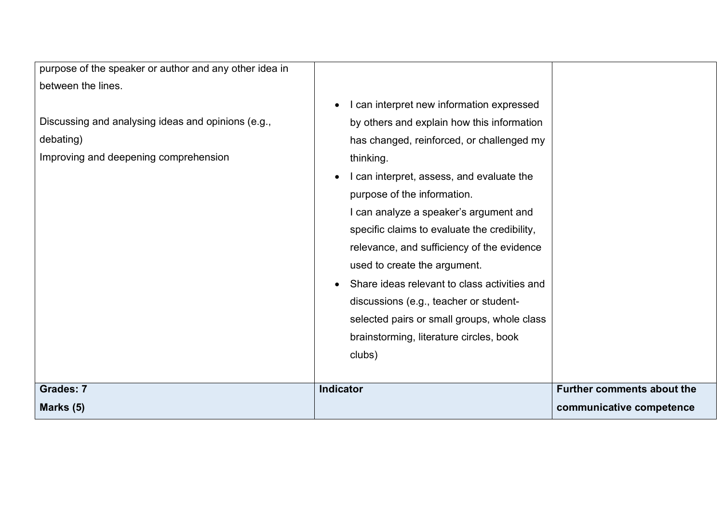| purpose of the speaker or author and any other idea in                                                   |                                                                                                                                                                                                                                                                                                                                                                                                                                                       |                                   |
|----------------------------------------------------------------------------------------------------------|-------------------------------------------------------------------------------------------------------------------------------------------------------------------------------------------------------------------------------------------------------------------------------------------------------------------------------------------------------------------------------------------------------------------------------------------------------|-----------------------------------|
| between the lines.                                                                                       |                                                                                                                                                                                                                                                                                                                                                                                                                                                       |                                   |
| Discussing and analysing ideas and opinions (e.g.,<br>debating)<br>Improving and deepening comprehension | I can interpret new information expressed<br>by others and explain how this information<br>has changed, reinforced, or challenged my<br>thinking.<br>I can interpret, assess, and evaluate the<br>purpose of the information.<br>I can analyze a speaker's argument and<br>specific claims to evaluate the credibility,<br>relevance, and sufficiency of the evidence<br>used to create the argument.<br>Share ideas relevant to class activities and |                                   |
|                                                                                                          | discussions (e.g., teacher or student-<br>selected pairs or small groups, whole class<br>brainstorming, literature circles, book<br>clubs)                                                                                                                                                                                                                                                                                                            |                                   |
| <b>Grades: 7</b>                                                                                         | <b>Indicator</b>                                                                                                                                                                                                                                                                                                                                                                                                                                      | <b>Further comments about the</b> |
| Marks (5)                                                                                                |                                                                                                                                                                                                                                                                                                                                                                                                                                                       | communicative competence          |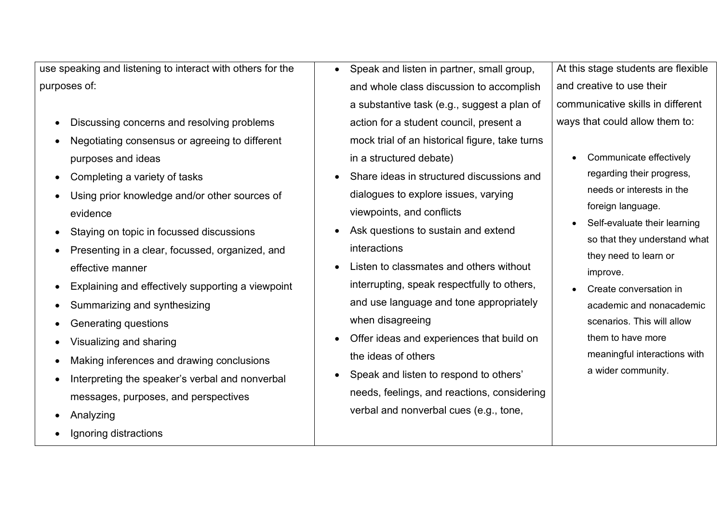use speaking and listening to interact with others for the purposes of:

- Discussing concerns and resolving problems
- Negotiating consensus or agreeing to different purposes and ideas
- Completing a variety of tasks
- Using prior knowledge and/or other sources of evidence
- Staying on topic in focussed discussions
- Presenting in a clear, focussed, organized, and effective manner
- Explaining and effectively supporting a viewpoint
- Summarizing and synthesizing
- Generating questions
- Visualizing and sharing
- Making inferences and drawing conclusions
- Interpreting the speaker's verbal and nonverbal messages, purposes, and perspectives
- Analyzing
- Ignoring distractions
- Speak and listen in partner, small group, and whole class discussion to accomplish a substantive task (e.g., suggest a plan of action for a student council, present a mock trial of an historical figure, take turns in a structured debate)
- Share ideas in structured discussions and dialogues to explore issues, varying viewpoints, and conflicts
- Ask questions to sustain and extend interactions
- Listen to classmates and others without interrupting, speak respectfully to others, and use language and tone appropriately when disagreeing
- Offer ideas and experiences that build on the ideas of others
- Speak and listen to respond to others' needs, feelings, and reactions, considering verbal and nonverbal cues (e.g., tone,

At this stage students are flexible and creative to use their communicative skills in different ways that could allow them to:

- Communicate effectively regarding their progress, needs or interests in the foreign language.
- Self-evaluate their learning so that they understand what they need to learn or improve.
	- Create conversation in academic and nonacademic scenarios. This will allow them to have more meaningful interactions with a wider community.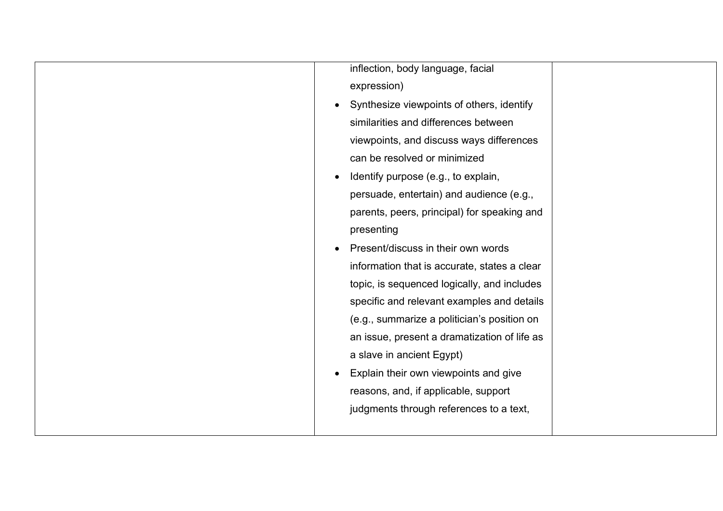| inflection, body language, facial                      |  |
|--------------------------------------------------------|--|
| expression)                                            |  |
| Synthesize viewpoints of others, identify<br>$\bullet$ |  |
| similarities and differences between                   |  |
| viewpoints, and discuss ways differences               |  |
| can be resolved or minimized                           |  |
| Identify purpose (e.g., to explain,                    |  |
| persuade, entertain) and audience (e.g.,               |  |
| parents, peers, principal) for speaking and            |  |
| presenting                                             |  |
| Present/discuss in their own words                     |  |
| information that is accurate, states a clear           |  |
| topic, is sequenced logically, and includes            |  |
| specific and relevant examples and details             |  |
| (e.g., summarize a politician's position on            |  |
| an issue, present a dramatization of life as           |  |
| a slave in ancient Egypt)                              |  |
| Explain their own viewpoints and give<br>$\bullet$     |  |
| reasons, and, if applicable, support                   |  |
| judgments through references to a text,                |  |
|                                                        |  |
|                                                        |  |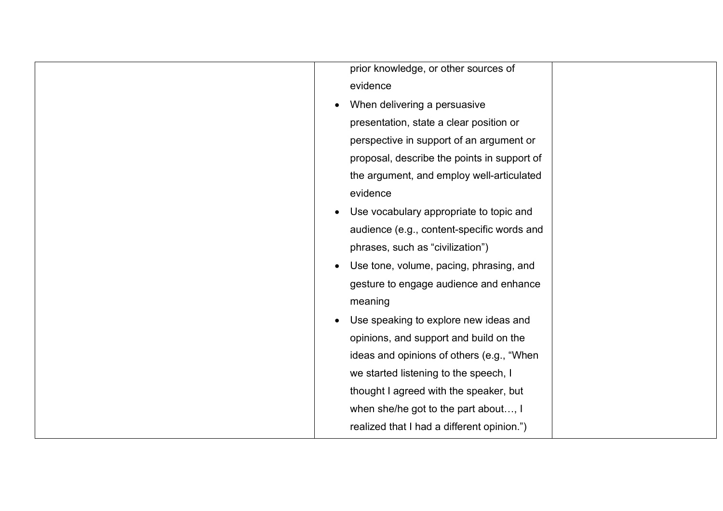| prior knowledge, or other sources of        |
|---------------------------------------------|
| evidence                                    |
| When delivering a persuasive                |
| presentation, state a clear position or     |
| perspective in support of an argument or    |
| proposal, describe the points in support of |
| the argument, and employ well-articulated   |
| evidence                                    |
| Use vocabulary appropriate to topic and     |
| audience (e.g., content-specific words and  |
| phrases, such as "civilization")            |
| Use tone, volume, pacing, phrasing, and     |
| gesture to engage audience and enhance      |
| meaning                                     |
| Use speaking to explore new ideas and       |
| opinions, and support and build on the      |
| ideas and opinions of others (e.g., "When   |
| we started listening to the speech, I       |
| thought I agreed with the speaker, but      |
| when she/he got to the part about, I        |
| realized that I had a different opinion.")  |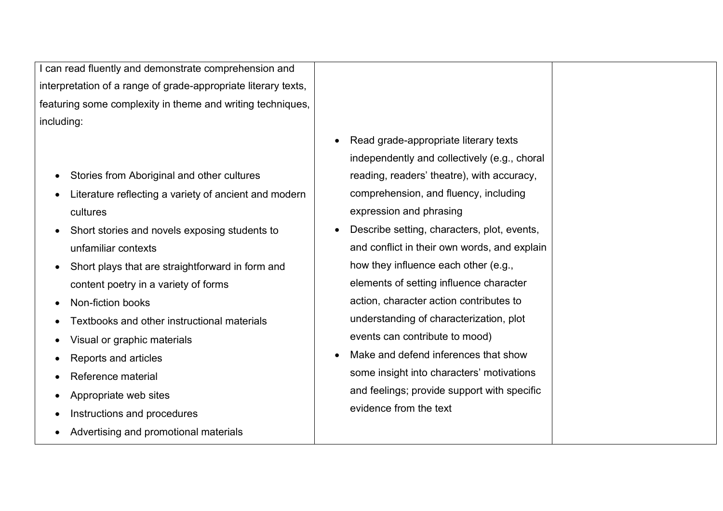I can read fluently and demonstrate comprehension and interpretation of a range of grade-appropriate literary texts, featuring some complexity in theme and writing techniques, including:

- Stories from Aboriginal and other cultures
- Literature reflecting a variety of ancient and modern cultures
- Short stories and novels exposing students to unfamiliar contexts
- Short plays that are straightforward in form and content poetry in a variety of forms
- Non-fiction books
- Textbooks and other instructional materials
- Visual or graphic materials
- Reports and articles
- Reference material
- Appropriate web sites
- Instructions and procedures
- Advertising and promotional materials
- Read grade-appropriate literary texts independently and collectively (e.g., choral reading, readers' theatre), with accuracy, comprehension, and fluency, including expression and phrasing
- Describe setting, characters, plot, events, and conflict in their own words, and explain how they influence each other (e.g., elements of setting influence character action, character action contributes to understanding of characterization, plot events can contribute to mood)
- Make and defend inferences that show some insight into characters' motivations and feelings; provide support with specific evidence from the text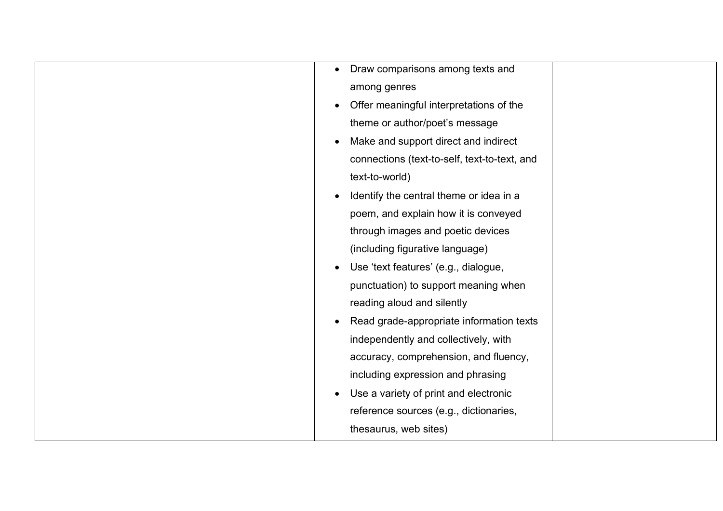| Draw comparisons among texts and<br>$\bullet$        |
|------------------------------------------------------|
| among genres                                         |
| Offer meaningful interpretations of the<br>$\bullet$ |
| theme or author/poet's message                       |
| Make and support direct and indirect<br>$\bullet$    |
| connections (text-to-self, text-to-text, and         |
| text-to-world)                                       |
| Identify the central theme or idea in a<br>$\bullet$ |
| poem, and explain how it is conveyed                 |
| through images and poetic devices                    |
| (including figurative language)                      |
| Use 'text features' (e.g., dialogue,<br>$\bullet$    |
| punctuation) to support meaning when                 |
| reading aloud and silently                           |
| Read grade-appropriate information texts             |
| independently and collectively, with                 |
| accuracy, comprehension, and fluency,                |
| including expression and phrasing                    |
| Use a variety of print and electronic                |
| reference sources (e.g., dictionaries,               |
| thesaurus, web sites)                                |
|                                                      |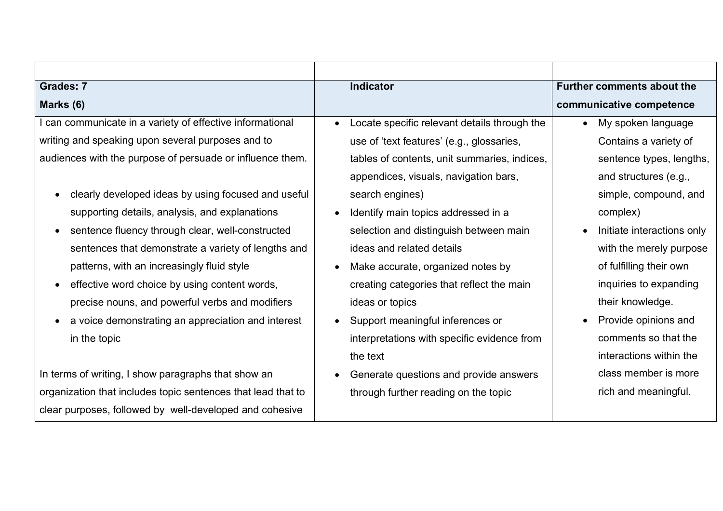| <b>Grades: 7</b>                                             | Indicator                                    | <b>Further comments about the</b> |
|--------------------------------------------------------------|----------------------------------------------|-----------------------------------|
| Marks (6)                                                    |                                              | communicative competence          |
| I can communicate in a variety of effective informational    | Locate specific relevant details through the | My spoken language<br>$\bullet$   |
| writing and speaking upon several purposes and to            | use of 'text features' (e.g., glossaries,    | Contains a variety of             |
| audiences with the purpose of persuade or influence them.    | tables of contents, unit summaries, indices, | sentence types, lengths,          |
|                                                              | appendices, visuals, navigation bars,        | and structures (e.g.,             |
| clearly developed ideas by using focused and useful          | search engines)                              | simple, compound, and             |
| supporting details, analysis, and explanations               | Identify main topics addressed in a          | complex)                          |
| sentence fluency through clear, well-constructed             | selection and distinguish between main       | Initiate interactions only        |
| sentences that demonstrate a variety of lengths and          | ideas and related details                    | with the merely purpose           |
| patterns, with an increasingly fluid style                   | Make accurate, organized notes by            | of fulfilling their own           |
| effective word choice by using content words,                | creating categories that reflect the main    | inquiries to expanding            |
| precise nouns, and powerful verbs and modifiers              | ideas or topics                              | their knowledge.                  |
| a voice demonstrating an appreciation and interest           | Support meaningful inferences or             | Provide opinions and              |
| in the topic                                                 | interpretations with specific evidence from  | comments so that the              |
|                                                              | the text                                     | interactions within the           |
| In terms of writing, I show paragraphs that show an          | Generate questions and provide answers       | class member is more              |
| organization that includes topic sentences that lead that to | through further reading on the topic         | rich and meaningful.              |
| clear purposes, followed by well-developed and cohesive      |                                              |                                   |
|                                                              |                                              |                                   |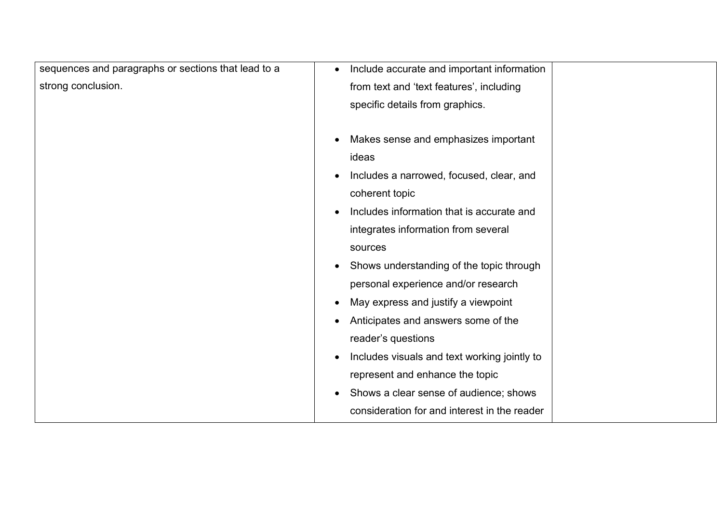| sequences and paragraphs or sections that lead to a | Include accurate and important information<br>$\bullet$   |
|-----------------------------------------------------|-----------------------------------------------------------|
| strong conclusion.                                  | from text and 'text features', including                  |
|                                                     | specific details from graphics.                           |
|                                                     |                                                           |
|                                                     | Makes sense and emphasizes important<br>$\bullet$         |
|                                                     | ideas                                                     |
|                                                     | Includes a narrowed, focused, clear, and<br>$\bullet$     |
|                                                     | coherent topic                                            |
|                                                     | Includes information that is accurate and<br>$\bullet$    |
|                                                     | integrates information from several                       |
|                                                     | sources                                                   |
|                                                     | Shows understanding of the topic through<br>$\bullet$     |
|                                                     | personal experience and/or research                       |
|                                                     | May express and justify a viewpoint<br>$\bullet$          |
|                                                     | Anticipates and answers some of the<br>$\bullet$          |
|                                                     | reader's questions                                        |
|                                                     | Includes visuals and text working jointly to<br>$\bullet$ |
|                                                     | represent and enhance the topic                           |
|                                                     | Shows a clear sense of audience; shows<br>$\bullet$       |
|                                                     | consideration for and interest in the reader              |
|                                                     |                                                           |